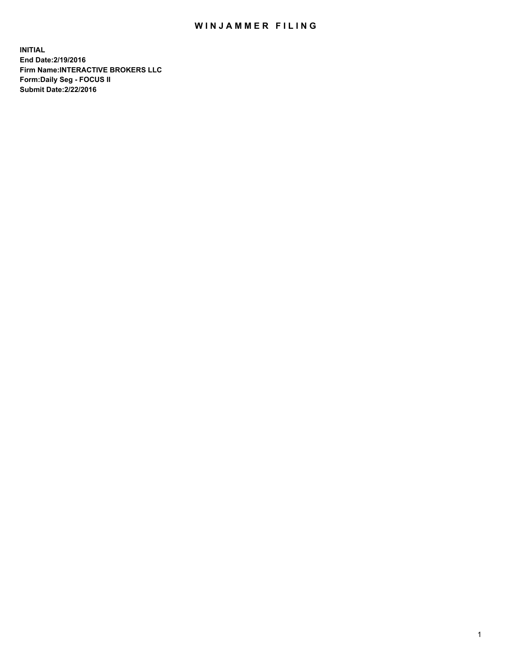## WIN JAMMER FILING

**INITIAL End Date:2/19/2016 Firm Name:INTERACTIVE BROKERS LLC Form:Daily Seg - FOCUS II Submit Date:2/22/2016**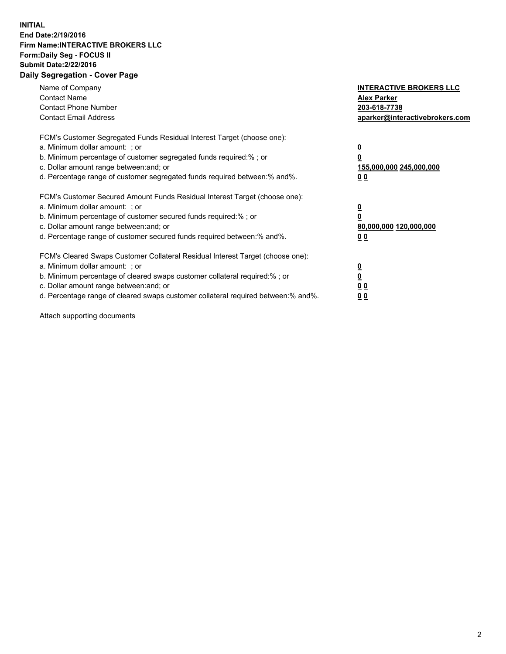## **INITIAL End Date:2/19/2016 Firm Name:INTERACTIVE BROKERS LLC Form:Daily Seg - FOCUS II Submit Date:2/22/2016 Daily Segregation - Cover Page**

| Name of Company<br><b>Contact Name</b><br><b>Contact Phone Number</b><br><b>Contact Email Address</b>                                                                                                                                                                                                                          | <b>INTERACTIVE BROKERS LLC</b><br><b>Alex Parker</b><br>203-618-7738<br>aparker@interactivebrokers.com |
|--------------------------------------------------------------------------------------------------------------------------------------------------------------------------------------------------------------------------------------------------------------------------------------------------------------------------------|--------------------------------------------------------------------------------------------------------|
| FCM's Customer Segregated Funds Residual Interest Target (choose one):<br>a. Minimum dollar amount: ; or<br>b. Minimum percentage of customer segregated funds required:%; or<br>c. Dollar amount range between: and; or<br>d. Percentage range of customer segregated funds required between:% and%.                          | <u>0</u><br>155,000,000 245,000,000<br><u>0 0</u>                                                      |
| FCM's Customer Secured Amount Funds Residual Interest Target (choose one):<br>a. Minimum dollar amount: ; or<br>b. Minimum percentage of customer secured funds required:% ; or<br>c. Dollar amount range between: and; or<br>d. Percentage range of customer secured funds required between:% and%.                           | <u>0</u><br>80,000,000 120,000,000<br><u>0 0</u>                                                       |
| FCM's Cleared Swaps Customer Collateral Residual Interest Target (choose one):<br>a. Minimum dollar amount: ; or<br>b. Minimum percentage of cleared swaps customer collateral required:% ; or<br>c. Dollar amount range between: and; or<br>d. Percentage range of cleared swaps customer collateral required between:% and%. | <u>0</u><br>0 <sub>0</sub><br>0 <sub>0</sub>                                                           |

Attach supporting documents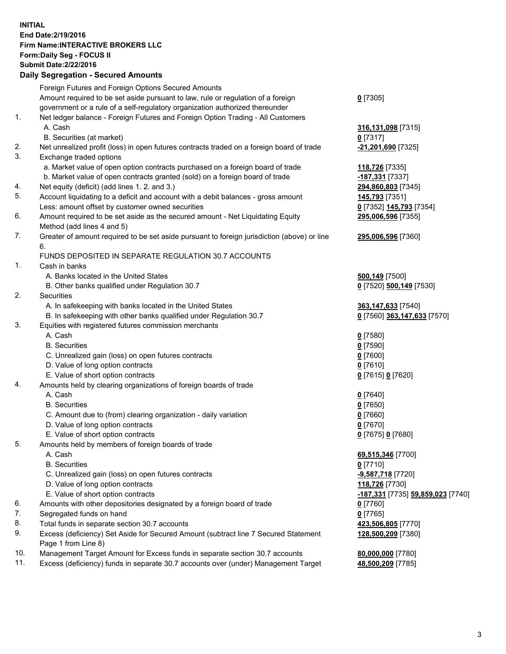## **INITIAL End Date:2/19/2016 Firm Name:INTERACTIVE BROKERS LLC Form:Daily Seg - FOCUS II Submit Date:2/22/2016 Daily Segregation - Secured Amounts**

|     | Dany Oogrogaach - Ocearea Amoanta                                                           |                                   |
|-----|---------------------------------------------------------------------------------------------|-----------------------------------|
|     | Foreign Futures and Foreign Options Secured Amounts                                         |                                   |
|     | Amount required to be set aside pursuant to law, rule or regulation of a foreign            | $0$ [7305]                        |
|     | government or a rule of a self-regulatory organization authorized thereunder                |                                   |
| 1.  | Net ledger balance - Foreign Futures and Foreign Option Trading - All Customers             |                                   |
|     | A. Cash                                                                                     | 316,131,098 [7315]                |
|     | B. Securities (at market)                                                                   | $0$ [7317]                        |
| 2.  | Net unrealized profit (loss) in open futures contracts traded on a foreign board of trade   | -21,201,690 [7325]                |
| 3.  | Exchange traded options                                                                     |                                   |
|     | a. Market value of open option contracts purchased on a foreign board of trade              |                                   |
|     |                                                                                             | 118,726 [7335]                    |
|     | b. Market value of open contracts granted (sold) on a foreign board of trade                | 187,331 [7337]                    |
| 4.  | Net equity (deficit) (add lines 1.2. and 3.)                                                | 294,860,803 [7345]                |
| 5.  | Account liquidating to a deficit and account with a debit balances - gross amount           | 145,793 [7351]                    |
|     | Less: amount offset by customer owned securities                                            | 0 [7352] 145,793 [7354]           |
| 6.  | Amount required to be set aside as the secured amount - Net Liquidating Equity              | 295,006,596 [7355]                |
|     | Method (add lines 4 and 5)                                                                  |                                   |
| 7.  | Greater of amount required to be set aside pursuant to foreign jurisdiction (above) or line | 295,006,596 [7360]                |
|     | 6.                                                                                          |                                   |
|     | FUNDS DEPOSITED IN SEPARATE REGULATION 30.7 ACCOUNTS                                        |                                   |
| 1.  | Cash in banks                                                                               |                                   |
|     | A. Banks located in the United States                                                       | 500,149 [7500]                    |
|     | B. Other banks qualified under Regulation 30.7                                              | 0 [7520] 500,149 [7530]           |
| 2.  | Securities                                                                                  |                                   |
|     | A. In safekeeping with banks located in the United States                                   | 363,147,633 [7540]                |
|     | B. In safekeeping with other banks qualified under Regulation 30.7                          | 0 [7560] 363,147,633 [7570]       |
| 3.  | Equities with registered futures commission merchants                                       |                                   |
|     | A. Cash                                                                                     | $0$ [7580]                        |
|     | <b>B.</b> Securities                                                                        | $0$ [7590]                        |
|     | C. Unrealized gain (loss) on open futures contracts                                         | $0$ [7600]                        |
|     | D. Value of long option contracts                                                           | $0$ [7610]                        |
|     | E. Value of short option contracts                                                          |                                   |
| 4.  |                                                                                             | 0 [7615] 0 [7620]                 |
|     | Amounts held by clearing organizations of foreign boards of trade                           |                                   |
|     | A. Cash                                                                                     | $0$ [7640]                        |
|     | <b>B.</b> Securities                                                                        | $0$ [7650]                        |
|     | C. Amount due to (from) clearing organization - daily variation                             | $0$ [7660]                        |
|     | D. Value of long option contracts                                                           | $0$ [7670]                        |
|     | E. Value of short option contracts                                                          | 0 [7675] 0 [7680]                 |
| 5.  | Amounts held by members of foreign boards of trade                                          |                                   |
|     | A. Cash                                                                                     | 69,515,346 [7700]                 |
|     | <b>B.</b> Securities                                                                        | $0$ [7710]                        |
|     | C. Unrealized gain (loss) on open futures contracts                                         | -9,587,718 [7720]                 |
|     | D. Value of long option contracts                                                           | 118,726 [7730]                    |
|     | E. Value of short option contracts                                                          | -187,331 [7735] 59,859,023 [7740] |
| 6.  | Amounts with other depositories designated by a foreign board of trade                      | $0$ [7760]                        |
| 7.  | Segregated funds on hand                                                                    | $0$ [7765]                        |
| 8.  | Total funds in separate section 30.7 accounts                                               | 423,506,805 [7770]                |
| 9.  | Excess (deficiency) Set Aside for Secured Amount (subtract line 7 Secured Statement         | 128,500,209 [7380]                |
|     | Page 1 from Line 8)                                                                         |                                   |
| 10. | Management Target Amount for Excess funds in separate section 30.7 accounts                 | 80,000,000 [7780]                 |
| 11. | Excess (deficiency) funds in separate 30.7 accounts over (under) Management Target          | 48,500,209 [7785]                 |
|     |                                                                                             |                                   |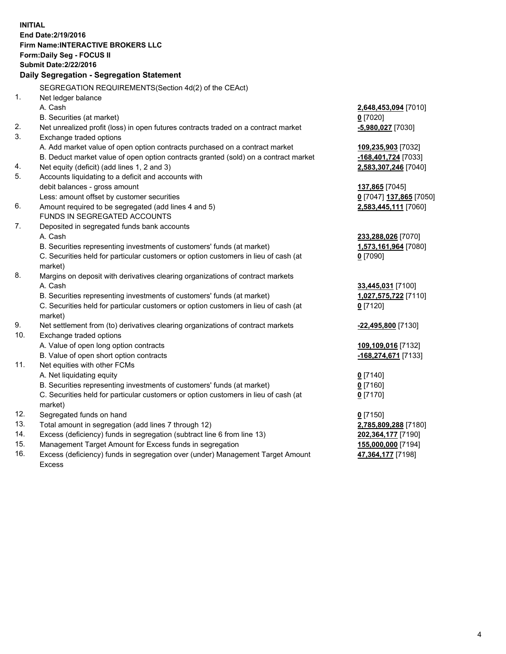**INITIAL End Date:2/19/2016 Firm Name:INTERACTIVE BROKERS LLC Form:Daily Seg - FOCUS II Submit Date:2/22/2016 Daily Segregation - Segregation Statement** SEGREGATION REQUIREMENTS(Section 4d(2) of the CEAct) 1. Net ledger balance A. Cash **2,648,453,094** [7010] B. Securities (at market) **0** [7020] 2. Net unrealized profit (loss) in open futures contracts traded on a contract market **-5,980,027** [7030] 3. Exchange traded options A. Add market value of open option contracts purchased on a contract market **109,235,903** [7032] B. Deduct market value of open option contracts granted (sold) on a contract market **-168,401,724** [7033] 4. Net equity (deficit) (add lines 1, 2 and 3) **2,583,307,246** [7040] 5. Accounts liquidating to a deficit and accounts with debit balances - gross amount **137,865** [7045] Less: amount offset by customer securities **0** [7047] **137,865** [7050] 6. Amount required to be segregated (add lines 4 and 5) **2,583,445,111** [7060] FUNDS IN SEGREGATED ACCOUNTS 7. Deposited in segregated funds bank accounts A. Cash **233,288,026** [7070] B. Securities representing investments of customers' funds (at market) **1,573,161,964** [7080] C. Securities held for particular customers or option customers in lieu of cash (at market) **0** [7090] 8. Margins on deposit with derivatives clearing organizations of contract markets A. Cash **33,445,031** [7100] B. Securities representing investments of customers' funds (at market) **1,027,575,722** [7110] C. Securities held for particular customers or option customers in lieu of cash (at market) **0** [7120] 9. Net settlement from (to) derivatives clearing organizations of contract markets **-22,495,800** [7130] 10. Exchange traded options A. Value of open long option contracts **109,109,016** [7132] B. Value of open short option contracts **-168,274,671** [7133] 11. Net equities with other FCMs A. Net liquidating equity **0** [7140] B. Securities representing investments of customers' funds (at market) **0** [7160] C. Securities held for particular customers or option customers in lieu of cash (at market) **0** [7170] 12. Segregated funds on hand **0** [7150] 13. Total amount in segregation (add lines 7 through 12) **2,785,809,288** [7180] 14. Excess (deficiency) funds in segregation (subtract line 6 from line 13) **202,364,177** [7190] 15. Management Target Amount for Excess funds in segregation **155,000,000** [7194] **47,364,177** [7198]

16. Excess (deficiency) funds in segregation over (under) Management Target Amount Excess